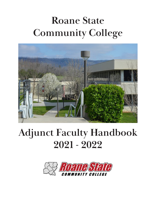# **Roane State Community College**



# **Adjunct Faculty Handbook 2021 - 2022**

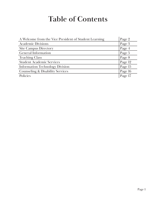## **Table of Contents**

| A Welcome from the Vice President of Student Learning | Page 2  |
|-------------------------------------------------------|---------|
| <b>Academic Divisions</b>                             | Page 3  |
| <b>Site Campus Directory</b>                          | Page 4  |
| <b>General Information</b>                            | Page 5  |
| <b>Teaching Class</b>                                 | Page 8  |
| <b>Student Academic Services</b>                      | Page 12 |
| <b>Information Technology Division</b>                | Page 15 |
| <b>Counseling &amp; Disability Services</b>           | Page 16 |
| Policies                                              | Page 17 |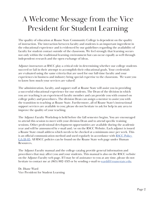## A Welcome Message from the Vice President for Student Learning

The quality of education at Roane State Community College is dependent on the quality of instruction. The interaction between faculty and students is an important ingredient in the educational experience and is evidenced by our guidelines regarding the availability of faculty for student contact outside of the classroom. We feel strongly that learning occurs not only within the traditional learning environment but can occur equally as well through independent research and the open exchange of ideas.

Adjunct instructors at RSCC play a critical role in determining whether our college students succeed or fail in their attempt to accomplish their educational goals. Your credentials are evaluated using the same criteria that are used for our full-time faculty and your experiences in business and industry bring special expertise to the classroom. We want you to know how much your services are valued!

The administration, faculty, and support staff at Roane State will assist you in providing a successful educational experience for our students. The Dean of the division in which you are teaching is an experienced faculty member and can provide you with counsel on college policy and procedures. The division Dean can assign a mentor to assist you with the transition to teaching at Roane State. Furthermore, all of Roane State's instructional support services are available to you; please do not hesitate to ask for help in any area to improve the quality of your teaching.

The Adjunct Faculty Workshop is held before the fall semester begins. You are encouraged to attend this session to meet with your division Dean and to attend specific training sessions. Other professional development opportunities are available during the academic year and will be announced by e-mail and/or on the RSCC Website. Each adjunct is issued a Roane State email address which needs to be checked at a minimum once per week. This is an official communication method and used regularly in accordance with **RSCC Policy** [GA-18-05.](https://www.roanestate.edu/?9191-RSCC-Policy-GA-18-05-Use-of-Email-as-Official-Correspondence) All RSCC policies can be found on the Roane State web page under Human Resources.

The Adjunct Faculty manual and the college catalog provide general information and procedures that may affect you and your students. This manual is also on the RSCC website on the Adjunct Faculty web page. If I may be of assistance to you at any time, please do not hesitate to contact me at  $(865)$  882-4513 or by sending e-mail to [wardd@roanestate.edu](mailto:wardd%40roanestate.edu?subject=).

Dr. Diane Ward Vice President for Student Learning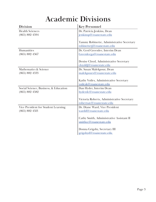## **Academic Divisions**

| <b>Division</b>                       | <b>Key Personnel</b>                       |
|---------------------------------------|--------------------------------------------|
| <b>Health Sciences</b>                | Dr. Patricia Jenkins, Dean                 |
| $(865) 882 - 4594$                    | jenkinsp@roanestate.edu                    |
|                                       |                                            |
|                                       | Tammy Robinette, Administrative Secretary  |
|                                       | robinettetj@roanestate.edu                 |
| Humanities                            | Dr. Geol Greenlee, Interim Dean            |
| $(865) 882 - 4567$                    | Greenleega@roanestate.edu                  |
|                                       |                                            |
|                                       | Denise Cloyd, Administrative Secretary     |
|                                       | cloyddj@roanestate.edu                     |
| Mathematics & Science                 | Dr. Susan Malekpour, Dean                  |
| $(865) 882 - 4533$                    | malekpours@roanestate.edu                  |
|                                       |                                            |
|                                       | Kathy Voiles, Administrative Secretary     |
|                                       | voilesk@roanestate.edu                     |
| Social Science, Business, & Education | Dan Hyder, Interim Dean                    |
| $(865) 882 - 4582$                    | hyderdc@roanestate.edu                     |
|                                       |                                            |
|                                       | Victoria Roberts, Administrative Secretary |
|                                       | robertsav@roanestate.edu                   |
| Vice President for Student Learning   | Dr. Diane Ward, Vice President             |
| $(865) 882 - 4513$                    | wardd@roanestate.edu                       |
|                                       |                                            |
|                                       | Cathy Smith, Administrative Assistant II   |
|                                       | smithcc@roanestate.edu                     |
|                                       |                                            |
|                                       | Donna Grigsby, Secretary III               |
|                                       | grigsbyd@roanestate.edu                    |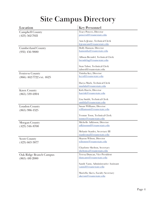## **Site Campus Directory**

| Location                   | <b>Key Personnel</b>                                     |  |
|----------------------------|----------------------------------------------------------|--|
| <b>Campbell County</b>     | <b>Tracy Powers, Director</b>                            |  |
| $(423) 562 - 7021$         | powerstl@roanestate.edu                                  |  |
|                            |                                                          |  |
|                            | Ann LeJeune, Technical Clerk                             |  |
|                            | lejeuneam@roanestate.edu                                 |  |
| <b>Cumberland County</b>   | Holly Hanson, Director                                   |  |
| $(931)$ 456-9880           | hansonha@roanestate.edu                                  |  |
|                            | Allison Brendel, Technical Clerk                         |  |
|                            | brendelag@roanestate.edu                                 |  |
|                            |                                                          |  |
|                            | Stan Tabor, Technical Clerk                              |  |
|                            | taborsl@roanestate.edu                                   |  |
| <b>Fentress County</b>     | Tinisha Key, Director                                    |  |
| $(866)$ 462-7722 ext. 4625 | keytd@roanestate.edu                                     |  |
|                            |                                                          |  |
|                            | Darya Murk, Technical Clerk                              |  |
|                            | murkda@roanestate.edu                                    |  |
| <b>Knox County</b>         | Kirk Harris, Director                                    |  |
| $(865) 539 - 6904$         | harrisk@roanestate.edu                                   |  |
|                            |                                                          |  |
|                            | Lisa Smith, Technical Clerk                              |  |
|                            | smithla@roanestate.edu                                   |  |
| Loudon County              | Susan Williams, Director                                 |  |
| $(865)$ 986-1525           | williamssm@roanestate.edu                                |  |
|                            |                                                          |  |
|                            | Yvonne Toon, Technical Clerk<br>toonyr@roanestate.edu    |  |
|                            |                                                          |  |
| Morgan County              | Michelle Adkisson, Director<br>adkissonml@roanestate.edu |  |
| $(423)$ 346-8700           |                                                          |  |
|                            | Melanie Stanley, Secretary III                           |  |
|                            | stanleymal@roanestate.edu                                |  |
| <b>Scott County</b>        | Sharon Wilson, Director                                  |  |
| $(423)$ 663-3877           | wilsonsw@roanestate.edu                                  |  |
|                            |                                                          |  |
|                            | Charlotte Shelton, Secretary                             |  |
|                            | sheltonca@roanestate.edu                                 |  |
| Oak Ridge Branch Campus    | Teresa Duncan, Vice President                            |  |
| $(865)$ 481-2000           | duncants@roanestate.edu                                  |  |
|                            |                                                          |  |
|                            | Sandy Vann, Administrative Assistant                     |  |
|                            | vannsl@roanestate.edu                                    |  |
|                            | Mariella Akers, Faculty Secretary                        |  |
|                            | akersm@roanestate.edu                                    |  |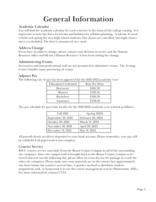## **General Information**

### **Academic Calendar**

You will find the academic calendar for each semester in the front of the college catalog. It is important to note the dates for breaks and holidays for syllabus planning. Academic Festival is held each spring for area high school students. Day classes are cancelled, but night classes meet as scheduled. The date is announced via e-mail.

### **Address Change**

If you have an address change, please contact your division secretary and the Human Resource office and fill out a Human Resource Action form noting the change.

## **Administering Exams**

Secretaries and non-professional staff are not permitted to administer exams. The Testing Center handles some proctoring of exams.

### **Adjunct Pay**

The following rate of pay has been approved for the 2021-2022 academic year:

| <b>Education Credential</b> | Rate Per Hour |
|-----------------------------|---------------|
| Doctorate                   | \$616.50      |
| <b>Masters</b>              | \$591.50      |
| <b>Bachelors</b>            | \$566.50      |
| Associates                  | \$539.50      |

The pay schedule for part-time faculty for the 2021-2022 academic year is listed as follows:

| <b>Fall 2021</b>   | <b>Spring 20212</b> |
|--------------------|---------------------|
| September 30, 2021 | February 28, 2022   |
| October 29, 2021   | March 31, 2022      |
| November 30, 2021  | April 29, 2022      |
| December 31, 2021  | May 31, 2022        |

All payroll checks are direct deposited to your bank account. Please remember, your pay will be withheld if all paperwork is not complete

## **Courier Service**

RSCC courier service runs daily from the Roane County Campus to all of the surrounding site campuses. Since site campus mail is brought back to the Roane County Campus to be sorted and sent out the following day, please allow an extra day for the package to reach the other site campuses. Please make sure your materials are in the courier box approximately one hour before the courier's arrival time. A quicker method to distribute student assignments and/or homework is to use the course management system (Momentum/D2L). For more information, contact CTAT.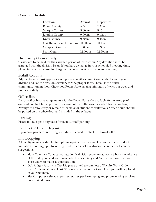## **Courier Schedule**

| Location                | Arrival             | Departure           |
|-------------------------|---------------------|---------------------|
| Roane County            | n/a                 | 7:30am              |
| <b>Morgan County</b>    | 8:00am              | 8:15am              |
| <b>Loudon County</b>    | 9:00am              | 9:15am              |
| <b>Knox County</b>      | 9:30am              | 9:45am              |
| Oak Ridge Branch Campus | 10:00am             | 10:15am             |
| <b>Campbell County</b>  | 11:00am             | 11:30am             |
| <b>Scott County</b>     | 12:00 <sub>pm</sub> | 12:30 <sub>pm</sub> |

## **Dismissing Classes Early**

Classes are to be held for the assigned period of instruction. Any deviation must be arranged with the division Dean. If you have a change in your scheduled meeting time, please inform the person in charge of the location at which you are teaching.

#### **E-Mail Accounts**

Adjunct faculty must apply for a temporary email account. Contact the Dean of your division and/or the division secretary for the proper forms. Email is the official communication method. Check you Roane State email a minimum of twice per week and preferably daily.

## **Office Hours**

Discuss office hour arrangements with the Dean. Plan to be available for an average of one and one-half hours per week for student consultations for each 3-hour class taught. Arrange to arrive early or remain after class for student consultations. Office hours should be posted on the office door and included in the syllabus

### **Parking**

Please follow signs designated for faculty/staff parking.

### **Paycheck / Direct Deposit**

If you have problems receiving your direct deposit, contact the Payroll office.

### **Photocopying**

All faculty members should limit photocopying to a reasonable amount due to budget limitations. For large photocopying needs, please ask the division secretary or Dean for suggestions.

- Main Campus Contact your academic division secretary at least 48 hours in advance of the date you need your materials. The secretary and/or the division Dean will assist you with materials preparation.
- Oak Ridge Faculty in Oak Ridge are asked to complete a "Faculty Work Order Form." Please allow at least 48 hours on all requests. Completed jobs will be placed in your mailbox.
- Site Campuses Site Campus secretaries perform typing and photocopying services on a limited basis.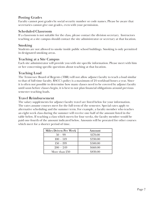## **Posting Grades**

Faculty cannot post grades by social security number or code names. Please be aware that secretaries cannot give out grades, even with your permission.

## **Scheduled Classroom**

If a classroom is not suitable for the class, please contact the division secretary. Instructors teaching at a site campus should contact the site administrator or secretary at that location.

## **Smoking**

Students are not allowed to smoke inside public school buildings. Smoking is only permitted in designated smoking areas.

### **Teaching at a Site Campus**

Each site administrator will provide you with site-specific information. Please meet with him or her concerning specific questions about teaching at that location.

## **Teaching Load**

The Tennessee Board of Regents (TBR) will not allow adjunct faculty to teach a load similar to that of full-time faculty. RSCC's policy is a maximum of 24 workload hours a year. Since it is often not possible to determine how many classes need to be covered by adjunct faculty until soon before classes begin, it is best to not plan financial obligations around previous semester teaching loads.

## **Travel Reimbursement**

The salary supplements for adjunct faculty travel are listed below for your information. The rates assume courses meet for the full term of the semester. Special rates apply to alternative scheduling and the summer term. For example, a faculty member who teaches an eight-week class during the summer will receive one-half of the amount listed in the table below. If teaching a class which meets for four weeks, the faculty member would be paid one-fourth of the amount indicated below. Amounts will be prorated for other courses which meet for a shorter period of time.

| <b>Miles Driven Per Week</b> | Amount   |
|------------------------------|----------|
| $50 - 99$                    | \$170.00 |
| $100 - 149$                  | \$330.00 |
| $150 - 199$                  | \$500.00 |
| $200 - 249$                  | \$660.00 |
| More than 250                | \$830.00 |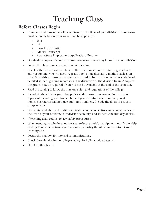## **Teaching Class**

## **Before Classes Begin**

- Complete and return the following forms to the Dean of your division. These forms must be on file before your waged can be deposited.
	- » W-4
	- » I-9
	- » Payroll Distribution
	- » Official Transcript
	- » Roane State Employment Application/Resume
- Obtain desk copies of your textbooks, course outline and syllabus from your division.
- Locate the classroom and exact time of the class.
- Check with the division secretary on the exact procedure to obtain a grade book and/or supplies you will need. A grade book or an alternative method such as an Excel Spreadsheet must be used to record grades. Information on the availability of detailed student grading records is at the discretion of the division Dean. A copy of the grades may be required if you will not be available at the end of the semester.
- Read the catalog to know the mission, rules, and regulations of the college.
- Include in the syllabus your class policies. Make sure your contact information is present including your home phone if you wish students to contact you at home. Secretaries will not give out home numbers. Include the division's course competencies.
- Distribute a syllabus and outlines indicating course objectives and competencies to the Dean of your division, your division secretary, and students the first day of class.
- If teaching a lab course, review safety procedures.
- When needing to schedule audio-visual software and/or equipment, notify the Help Desk (x4357) at least two days in advance, or notify the site administrator at your teaching site.
- Locate the mailbox for internal communications.
- Check the calendar in the college catalog for holidays, due dates, etc.
- Plan for office hours.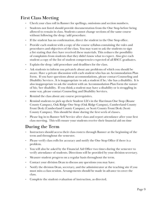## **First Class Meeting**

- Check your class roll in Banner for spellings, omissions and section numbers.
- Students not listed should provide documentation from the One Stop before being allowed to remain in class. Students cannot change sections of the same course without following the drop/add procedure.
- If the student has no confirmation, direct the student to the One Stop office.
- Provide each student with a copy of the course syllabus containing the rules and procedures and objectives of the class. You may want to ask the students to sign a list stating that they have received these materials. This reduces the possibility of complaints from students that they didn't know what to expect. Also give each student a copy of the list of student competencies expected of all RSCC graduates.
- Explain the drop/add procedure and deadlines for the class.
- Ask students to inform you privately about any problems of which you should be aware. Have a private discussion with each student who has an Accommodation Plan Form. If you have questions about accommodations, please contact Counseling and Disability Services . It is inappropriate to ask a student if  $he/she$  has a disability. It is also inappropriate to ask the student with an Accommodation Plan Form the nature of his/her disability. If you think a student may have a disability or is struggling in some way, please contact Counseling and Disability Services.
- Remind the class about any course prerequisites.
- Remind students to pick up their Student I.D.'s in the Harriman One Stop (Roane County Campus), Oak Ridge One Stop (Oak Ridge Campus), Cumberland County Front Desk (Cumberland County Campus), or Scott County Front Desk (Scott County Campus). This should be done during the first week of classes.
- Please log in to Banner Self Service after class and report attendance after your first class meeting. This will ensure your students receive their financial aid on time

## **During the Term**

- Instructors should access their class rosters through Banner at the beginning of the term and throughout the semester.
- Please verify class rolls for accuracy and notify the One Stop Office if there is a problem.
- You will also be asked by the Financial Aid Office two times during the semester to verify attendance of students. Directions will be provided by your division secretary.
- Measure student progress on a regular basis throughout the term.
- Contact your division Dean to discuss any questions you may have.
- Notify the division Dean, secretary, and the administrator at the teaching site if you must miss a class session. Arrangements should be made in advance to cover the class.
- Complete the student evaluation of instruction, as directed.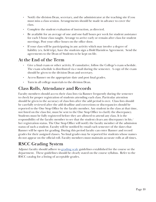- Notify the division Dean, secretary, and the administrator at the teaching site if you must miss a class session. Arrangements should be made in advance to cover the class.
- Complete the student evaluation of instruction, as directed.
- Be available for an average of one and one-half hours per week for student assistance for each 3-hour class taught. Arrange to arrive early or remain after class for student meetings. Post your office hours on the office door.
- If your class will be participating in any activity which may involve a degree of liability (ex. field trip), have the students sign a Hold Harmless Agreement. Send the agreements to the Dean of Students to be kept on file.

## **At the End of the Term**

- Give a final exam or other activity. If cumulative, follow the College's exam schedule. The exam schedule is distributed via e-mail during the semester. A copy of the exam should be given to the division Dean and secretary.
- Access Banner on the appropriate date and post final grades.
- Turn in all college materials to the division Dean.

## **Class Rolls, Attendance and Records**

Faculty members should access their class lists via Banner frequently during the semester to check for proper registration of students attending each class. Particular attention should be given to the accuracy of class lists after the add period is over. Class lists should be carefully reviewed after the add deadline and corrections or discrepancies should be reported to the One Stop Office by the faculty member. Any student in the class at that time, not listed on the class list, must be sent to the One Stop Office to clarify the discrepancy. Students must be fully registered before they are allowed to attend any class. It is the responsibility of the faculty member to see that the student clears any discrepancy in his/ her registration status. The One Stop Office will notify the faculty member of the admission status of such a student. Faculty will be notified by email each semester of the dates that Banner will be open for grading. During this period faculty can enter Banner and record grades for their assigned classes. No final grades may be reported for students whose names do not appear on the official roll. Faculty members must maintain accurate rolls at all times.

## **RSCC Grading System**

Adjunct faculty should adhere to [grading scale](http://www.roanestate.edu/catalog/?id=235) guidelines established for the course or the department. These guidelines should be clearly stated on the course syllabus. Refer to the RSCC catalog for a listing of acceptable grades.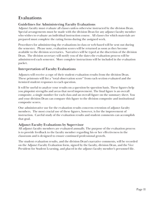## **Evaluations**

## **Guidelines for Administering Faculty Evaluations**

Adjunct faculty must evaluate all classes unless otherwise instructed by the division Dean. Special arrangements must be made with the division Dean for any adjunct faculty member who wishes to evaluate an individual instruction course. All classes for which materials are prepared must complete the rating forms during the assigned week.

Procedures for administering the evaluations in-class or web-based will be sent out during the semester. Please note, evaluation scores will be returned as soon as they become available to the division secretaries. Narratives will be typed at the discretion of the division Dean. The division secretary will notify you of the dates the evaluation process will be administered each semester. More complete instructions will be included in the evaluation packet.

## **Interpretation of Faculty Evaluations**

Adjuncts will receive a copy of their student evaluation results from the division Dean. These printouts will list a "total observation score" from each section evaluated and the itemized student responses to each question.

It will be useful to analyze your results on a question-by-question basis. These figures help you pinpoint strengths and areas that need improvement. The final figure is an overall composite, a single number for each class and an overall figure on the summary sheet. You and your division Dean can compare this figure to the division composite and institutional composite scores.

One administrative use for the evaluation results concerns retention of adjunct faculty members. The most crucial use of these figures, however, is for the improvement of instruction. Careful study of the evaluation results and student comments can accomplish that goal.

## **Adjunct Faculty Evaluations by Supervisor**

All adjunct faculty members are evaluated annually. The purpose of the evaluation process is to provide feedback to the faculty member regarding his or her effectiveness in the classroom and is designed to ensure continued professional growth.

The student evaluation results, and the division Dean's narrative comments, will be recorded on the Adjunct Faculty Evaluation form, signed by the faculty, division Dean, and the Vice President for Student Learning, and placed in the adjunct faculty member's personnel file.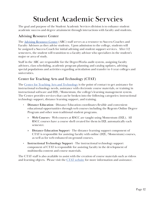## **Student Academic Servcies**

The goal and purpose of the Student Academic Services division is to enhance student academic success and degree attainment through interactions with faculty and students.

## **Advising Resource Center**

The [Advising Resource Center](https://www.roanestate.edu/?6-Advising-Resource-Center-ARC) (ARC) staff serves as a resource to Success Coaches and Faculty Advisors as they advise students. Upon admission to the college, students will be assigned a Success Coach for initial advising and student support services. After 1-2 semesters, the student will transition to a faculty advisor who specializes in the student's major or area of study.

Staff in the ARC are responsible for the DegreeWorks audit system, assigning faculty advisors, class scheduling, academic program planning and catalog updates, advising special populations and activities regarding articulation and transfer to 4-year colleges and universities.

## **Center for Teaching Arts and Technology (CTAT)**

The [Center for Teaching Arts and Technology](http://ctat.roanestate.edu/) is the point of contact to get assistance for instructional technology needs, assistance with electronic course materials, or training in instructional software and D2L/Momentum, the college's learning management system. The Center provides services that can be broken into the following categories: instructional technology support, distance learning support, and training.

- **• Distance Education** Distance Education coordinates flexible and convenient educational opportunities through web courses including the Regents Online Degree Program and other non-traditional student programs.
	- » **Web Courses** Web courses at RSCC are taught using Momentum (D2L). All RSCC courses have a course shell created for them in D2L automatically each semester.
	- » **Distance Education Support** The distance learning support component of CTAT is responsible for assisting faculty with online (D2L/Momentum) courses, as well as for web-enhanced on-ground courses.
- **• Instructional Technology Support** The instructional technology support component of CTAT is responsible for assisting faculty in the development of multimedia content and course materials.

The CTAT staff is also available to assist with the creation of course materials such as videos and learning objects. Please visit the [CTAT website](http://ctat.roanestate.edu/) for more information and assistance.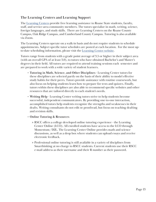## **The Learning Centers and Learning Support**

The [Learning Centers](https://www.roanestate.edu/?6143-Learning-Center) provide free learning assistance to Roane State students, faculty, staff, and service-area community members. The tutors specialize in math, writing, science, foreign languages, and study skills. There are Learning Centers on the Roane County Campus, Oak Ridge Campus, and Cumberland County Campus. Tutoring is also available via Zoom.

The Learning Centers operate on a walk-in basis and do not require students to schedule appointments. Subject-specific tutor schedules are posted at each location. For the most upto-date scheduling information, please visit the [Learning Center website](https://www.roanestate.edu/?6143-Learning-Center).

Tutors range from students with a grade point average of 3.5 or higher in their subject area (with an overall GPA of at least 3.0), to tutors who have obtained Bachelor's and Master's degrees in their field. All tutors are required to attend training sessions each semester and are prepared to work with a wide variety of student learners.

- **• Tutoring in Math, Science, and Other Disciplines** Learning Center tutors for these disciplines are selected partly on the basis of their ability to model effective study habits for their peers. Tutors provide assistance with routine coursework, but also focus on helping students learn how to prepare for tests and quizzes. Finally, tutors within these disciplines are also able to recommend specific websites and other resources that are tailored directly to each student's needs.
- **• Writing Help** Learning Center writing tutors strive to help students become successful, independent communicators. By providing one-to-one interaction, accomplished tutors help students recognize the strengths and weaknesses in their drafts. Writing consultants do not edit or proofread, but focus on teaching drafting and revision skills.
- **• Online Tutoring & Resources**
	- » RSCC offers a college developed online tutoring experience the Learning Center Online (LCO). All enrolled students have access to the LCO through Momentum/D2L. The Learning Center Online provides math and science discussions, as well as a drop box where students can upload essays and receive electronic feedback.
	- » Professional online tutoring is still available in a variety of disciplines from Smarthinking at no charge to RSCC students. Current students use their RSCC e-mail address as their username and their R number as their password.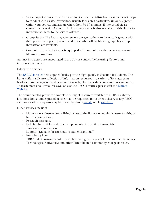- Workshops & Class Visits The Learning Center Specialists have designed workshops to conduct with classes. Workshops usually focus on a particular skill or assignment within your course, and last anywhere from 30-80 minutes. If interested please contact the Learning Center. The Learning Center is also available to visit classes to introduce students to the services offered.
- Group Study The Learning Centers encourage students to form study groups with their peers. Group study rooms and tutors who will facilitate high-quality group interaction are available.
- Computer Use Each Center is equipped with computers with internet access and Microsoft programs.

Adjunct instructors are encouraged to drop by or contact the Learning Centers and introduce themselves.

## **Library Services**

The [RSCC Libraries](http://library.roanestate.edu/home) help adjunct faculty provide high-quality instruction to students. The library offers a diverse collection of information resources in a variety of formats: print books; eBooks; magazines and academic journals; electronic databases; websites and more. To learn more about resources available at the RSCC libraries, please visit the Library [Website.](http://library.roanestate.edu/home)

The online catalog provides a complete listing of resources available at all RSCC library locations. Books and copies of articles may be requested for courier delivery to any RSCC campus location. Requests may be placed by phone, [email,](mailto:librarystaff%40roanestate.edu?subject=Item%20Request) or via [web form.](http://library.roanestate.edu/c.php?g=671496&p=4747852)

Other services include:

- Library tours/instruction Bring a class to the library, schedule a classroom visit, or have a Zoom session.
- Research assistance
- Help finding articles and other supplemental instructional materials
- Wireless internet access
- Laptops (available for checkout to students and staff)
- Interlibrary loan
- TBR/TALC Borrower card Gives borrowing privileges at UT, Knoxville; Tennessee Technological University; and other TBR-affiliated community college libraries.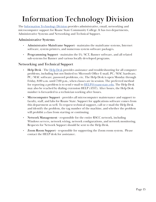## **Information Technology Division**

The [Information Technology Division](https://www.roanestate.edu/?265-Information-Technology) provides administrative, email, networking and microcomputer support for Roane State Community College. It has two departments, Administrative Systems and Networking and Technical Support.

## **Administrative Systems**

- **• Administrative Mainframe Support** maintains the mainframe systems, Internet software, system printers, and numerous system software packages.
- **• Programming Support** maintains the IA/SCT, Banner software, and all related sub-systems for Banner and various locally developed programs.

## **Networking and Technical Support**

- **• Help Desk** The [Help Desk](https://www.roanestate.edu/?250-Computer-Help-Desk) provides assistance and troubleshooting for all computer problems, including but not limited to: Microsoft Office E-mail, PC/MAC hardware, PC/MAC software, password problems, etc. The Help Desk is open Monday through Friday, 8:00 a.m. until 7:00 p.m., when classes are in session. The preferred method for reporting a problem is to send e-mail to  $HELP@{roanestate.edu}$ . The Help Desk may also be reached by dialing extension HELP (4357). After hours, the Help Desk number is forwarded to a technician working after hours.
- **• Microcomputer Support** provides all microcomputer maintenance and support to faculty, staff, and labs for Roane State. Support for applications software comes from this department as well. To request technical support, call or e-mail the Help Desk and identify the problem, the tag number of the machine, and whether the problem will prohibit a class from starting or continuing.
- **• Network Management** responsible for the entire RSCC network, including Windows servers, network wiring, network configurations, and network monitoring. Requests for Network Support should be sent to the Help Desk.
- **• Zoom Room Support** responsible for supporting the Zoom room system. Please contact the HELP desk for assistance.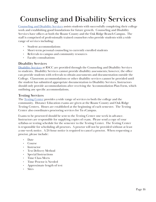## **Counseling and Disability Services**

[Counseling and Disability Services](http://www.roanestate.edu/?5490-Counseling-Services) assists students with successfully completing their college work and establishing good foundations for future growth. Counseling and Disability Services have offices at both the Roane County and the Oak Ridge Branch Campus. The staff is comprised of professionally trained counselors who provide students with a wide range of services including:

- Student accommodations
- Short-term personal counseling to currently enrolled students
- Referrals to campus and community resources
- Faculty consultations

### **Disability Services**

[Disability Services](http://www.roanestate.edu/?5488-Disability-Services) at RSCC are provided through the Counseling and Disability Services to students. Disability Services cannot provide disability assessments; however, the office can provide students with referrals to obtain assessments and documentation outside the College. Classroom accommodations or other disability services cannot be provided until the student has submitted appropriate documentation to Disability Services. Instructors should only provide accommodations after receiving the Accommodation Plan Form, which outlining any specific accommodations.

## **Testing Services**

The **[Testing Center](http://www.roanestate.edu/?5446-Testing-Centers)** provides a wide range of services to both the college and the community. Distance Education exams are given at the Roane County and Oak Ridge Testing Centers. Hours are established at the beginning of each semester. The Testing Center also coordinates proctoring services for Tn eCampus.

Exams to be proctored should be sent to the Testing Center one week in advance. Instructors are responsible for supplying copies of exam. Please send a copy of your syllabus or testing schedule for the semester to the Testing Center. The Testing Center is responsible for scheduling all proctors. A proctor will not be provided without at least a one-week notice. A 24-hour notice is required to cancel a proctor. When requesting a proctor, please include:

- Date
- Course
- Instructor
- Test Delivery Method
- Special Instructions
- Time Class Meets
- Time Proctor is Needed
- Approximate length of test
- **Sites**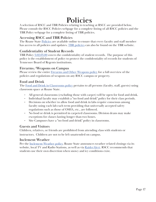## **Policies**

A selection of RSCC and TBR Policies relating to teaching at RSCC are provided below. Please consult the RSCC Policies webpage for a complete listing of all RSCC policies and the TBR Policy webpage for a complete listing of TBR policies.

## **Accessing RSCC and TBR Policies**

The Roane State [Policies](http://www.roanestate.edu/policies/) are available online to ensure that every faculty and staff member has access to all policies and updates. [TBR policies](https://policies.tbr.edu/#_ga=2.185513897.12367278.1534509602-1828067406.1447788985) can also be found on the TBR website.

## **Confidentiality of Student Records**

TBR Policy [3.02.03.00](https://policies.tbr.edu/policies/confidentiality-student-records) covers the confidentiality of student records. The purpose of this policy is the establishment of policy to protect the confidentiality of records for students of Tennessee Board of Regents institutions.

### **Firearms/Weapons on Campus**

Please review the entire [Firearms and Other Weapons policy](http://www.roanestate.edu/?10519-RSCC-Policy-GA-13-04-Firearms-and-Other-Weapons) for a full overview of the policies and regulations of weapons on any RSCC campus or property.

## **Food and Drink**

The [Food and Drink in Classrooms policy](http://www.roanestate.edu/?9205-RSCC-Policy-GA-21-04-Food-and-Drink-in-Classrooms) pertains to all persons (faculty, staff, guests) using classroom space at Roane State.

- All general classrooms (excluding those with carpet) will be open for food and drink.
- Individual faculty may establish a "no food and drink" policy for their class periods.
- Decisions on whether to allow food and drink in labs require consensus among faculty using each lab each term providing that universally accepted safety regulations such as those of OSHA, etc., are followed.
- No food or drink is permitted in carpeted classrooms. Division deans may make exceptions for classes lasting longer than two hours.
- Site Campuses have a "no food and drink" policy in classrooms.

### **Guests and Visitors**

Children, relatives, or friends are prohibited from attending class with students or instructors. Children are not to be left unattended on campus.

#### **Inclement Weather**

Per the <u>Inclement Weather policy</u>, Roane State announces weather related closings via its website, local TV and Radio Stations, as well as via [RaiderAlert.](https://www.roanestate.edu/?6216-RaiderAlert) RSCC recommends that students use their own discretion when snowy and icy conditions exist.